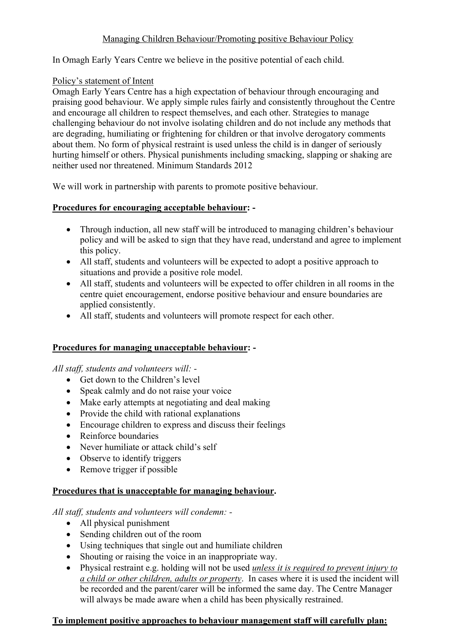# Managing Children Behaviour/Promoting positive Behaviour Policy

In Omagh Early Years Centre we believe in the positive potential of each child.

## Policy's statement of Intent

Omagh Early Years Centre has a high expectation of behaviour through encouraging and praising good behaviour. We apply simple rules fairly and consistently throughout the Centre and encourage all children to respect themselves, and each other. Strategies to manage challenging behaviour do not involve isolating children and do not include any methods that are degrading, humiliating or frightening for children or that involve derogatory comments about them. No form of physical restraint is used unless the child is in danger of seriously hurting himself or others. Physical punishments including smacking, slapping or shaking are neither used nor threatened. Minimum Standards 2012

We will work in partnership with parents to promote positive behaviour.

## **Procedures for encouraging acceptable behaviour: -**

- Through induction, all new staff will be introduced to managing children's behaviour policy and will be asked to sign that they have read, understand and agree to implement this policy.
- All staff, students and volunteers will be expected to adopt a positive approach to situations and provide a positive role model.
- All staff, students and volunteers will be expected to offer children in all rooms in the centre quiet encouragement, endorse positive behaviour and ensure boundaries are applied consistently.
- All staff, students and volunteers will promote respect for each other.

# **Procedures for managing unacceptable behaviour: -**

*All staff, students and volunteers will: -*

- Get down to the Children's level
- Speak calmly and do not raise your voice
- Make early attempts at negotiating and deal making
- Provide the child with rational explanations
- Encourage children to express and discuss their feelings
- Reinforce boundaries
- Never humiliate or attack child's self
- Observe to identify triggers
- Remove trigger if possible

## **Procedures that is unacceptable for managing behaviour.**

*All staff, students and volunteers will condemn: -*

- All physical punishment
- Sending children out of the room
- Using techniques that single out and humiliate children
- Shouting or raising the voice in an inappropriate way.
- Physical restraint e.g. holding will not be used *unless it is required to prevent injury to a child or other children, adults or property*. In cases where it is used the incident will be recorded and the parent/carer will be informed the same day. The Centre Manager will always be made aware when a child has been physically restrained.

## **To implement positive approaches to behaviour management staff will carefully plan:**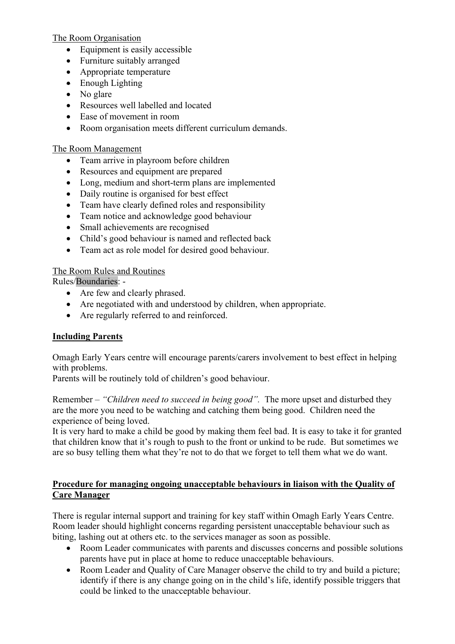The Room Organisation

- Equipment is easily accessible
- Furniture suitably arranged
- Appropriate temperature
- Enough Lighting
- No glare
- Resources well labelled and located
- Ease of movement in room
- Room organisation meets different curriculum demands.

## The Room Management

- Team arrive in playroom before children
- Resources and equipment are prepared
- Long, medium and short-term plans are implemented
- Daily routine is organised for best effect
- Team have clearly defined roles and responsibility
- Team notice and acknowledge good behaviour
- Small achievements are recognised
- Child's good behaviour is named and reflected back
- Team act as role model for desired good behaviour.

# The Room Rules and Routines

Rules/Boundaries: -

- Are few and clearly phrased.
- Are negotiated with and understood by children, when appropriate.
- Are regularly referred to and reinforced.

# **Including Parents**

Omagh Early Years centre will encourage parents/carers involvement to best effect in helping with problems.

Parents will be routinely told of children's good behaviour.

Remember – *"Children need to succeed in being good".* The more upset and disturbed they are the more you need to be watching and catching them being good. Children need the experience of being loved.

It is very hard to make a child be good by making them feel bad. It is easy to take it for granted that children know that it's rough to push to the front or unkind to be rude. But sometimes we are so busy telling them what they're not to do that we forget to tell them what we do want.

# **Procedure for managing ongoing unacceptable behaviours in liaison with the Quality of Care Manager**

There is regular internal support and training for key staff within Omagh Early Years Centre. Room leader should highlight concerns regarding persistent unacceptable behaviour such as biting, lashing out at others etc. to the services manager as soon as possible.

- Room Leader communicates with parents and discusses concerns and possible solutions parents have put in place at home to reduce unacceptable behaviours.
- Room Leader and Quality of Care Manager observe the child to try and build a picture; identify if there is any change going on in the child's life, identify possible triggers that could be linked to the unacceptable behaviour.